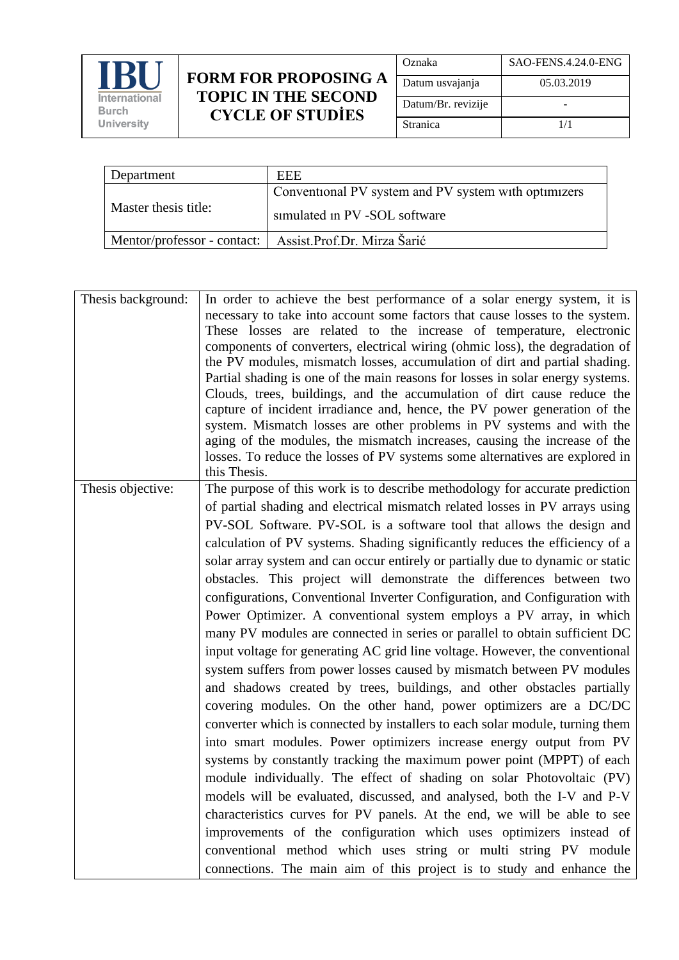

## **FORM FOR PROPOSING A TOPIC IN THE SECOND CYCLE OF STUDİES**

| Oznaka             | SAO-FENS.4.24.0-ENG |
|--------------------|---------------------|
| Datum usvajanja    | 05.03.2019          |
| Datum/Br. revizije |                     |
| Stranica           | 1/1                 |

| Department           | EEE                                                       |
|----------------------|-----------------------------------------------------------|
|                      | Conventional PV system and PV system with optimizers      |
| Master thesis title: | simulated in PV -SOL software                             |
|                      | Mentor/professor - contact:   Assist.Prof.Dr. Mirza Šarić |

| Thesis background: | In order to achieve the best performance of a solar energy system, it is<br>necessary to take into account some factors that cause losses to the system.<br>These losses are related to the increase of temperature, electronic<br>components of converters, electrical wiring (ohmic loss), the degradation of<br>the PV modules, mismatch losses, accumulation of dirt and partial shading.<br>Partial shading is one of the main reasons for losses in solar energy systems.<br>Clouds, trees, buildings, and the accumulation of dirt cause reduce the<br>capture of incident irradiance and, hence, the PV power generation of the<br>system. Mismatch losses are other problems in PV systems and with the<br>aging of the modules, the mismatch increases, causing the increase of the<br>losses. To reduce the losses of PV systems some alternatives are explored in<br>this Thesis.                                                                                                                                                                                                                                                                                                                                                                                                                                                                                                                                                                                                                                                                                                                                                                                                                    |
|--------------------|------------------------------------------------------------------------------------------------------------------------------------------------------------------------------------------------------------------------------------------------------------------------------------------------------------------------------------------------------------------------------------------------------------------------------------------------------------------------------------------------------------------------------------------------------------------------------------------------------------------------------------------------------------------------------------------------------------------------------------------------------------------------------------------------------------------------------------------------------------------------------------------------------------------------------------------------------------------------------------------------------------------------------------------------------------------------------------------------------------------------------------------------------------------------------------------------------------------------------------------------------------------------------------------------------------------------------------------------------------------------------------------------------------------------------------------------------------------------------------------------------------------------------------------------------------------------------------------------------------------------------------------------------------------------------------------------------------------|
| Thesis objective:  | The purpose of this work is to describe methodology for accurate prediction<br>of partial shading and electrical mismatch related losses in PV arrays using<br>PV-SOL Software. PV-SOL is a software tool that allows the design and<br>calculation of PV systems. Shading significantly reduces the efficiency of a<br>solar array system and can occur entirely or partially due to dynamic or static<br>obstacles. This project will demonstrate the differences between two<br>configurations, Conventional Inverter Configuration, and Configuration with<br>Power Optimizer. A conventional system employs a PV array, in which<br>many PV modules are connected in series or parallel to obtain sufficient DC<br>input voltage for generating AC grid line voltage. However, the conventional<br>system suffers from power losses caused by mismatch between PV modules<br>and shadows created by trees, buildings, and other obstacles partially<br>covering modules. On the other hand, power optimizers are a DC/DC<br>converter which is connected by installers to each solar module, turning them<br>into smart modules. Power optimizers increase energy output from PV<br>systems by constantly tracking the maximum power point (MPPT) of each<br>module individually. The effect of shading on solar Photovoltaic (PV)<br>models will be evaluated, discussed, and analysed, both the I-V and P-V<br>characteristics curves for PV panels. At the end, we will be able to see<br>improvements of the configuration which uses optimizers instead of<br>conventional method which uses string or multi string PV module<br>connections. The main aim of this project is to study and enhance the |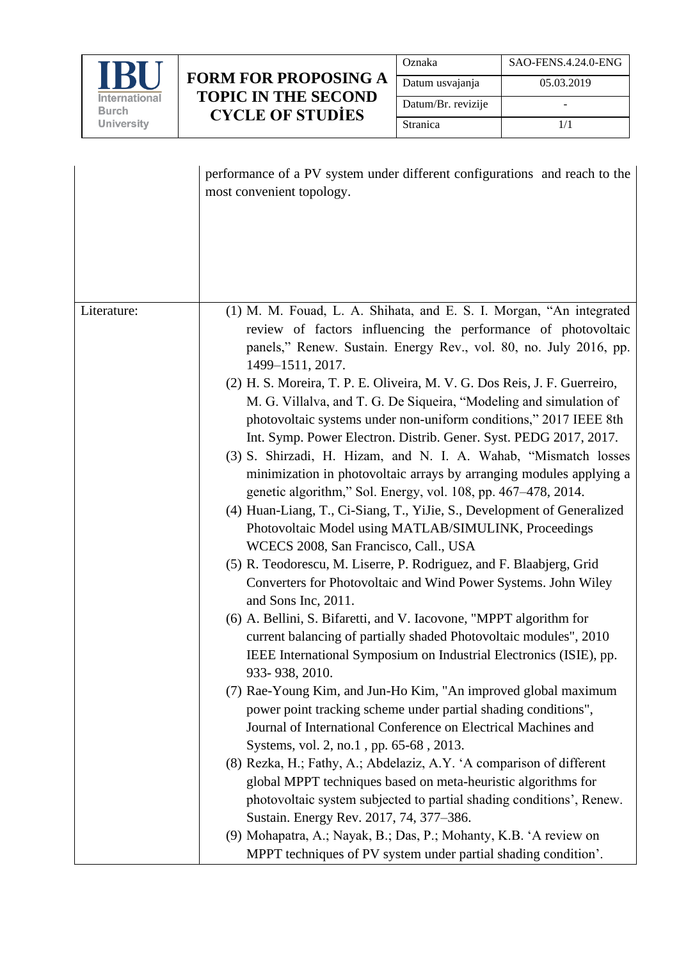

## **FORM FOR PROPOSING A TOPIC IN THE SECOND CYCLE OF STUDİES**

| Oznaka             | SAO-FENS.4.24.0-ENG |
|--------------------|---------------------|
| Datum usvajanja    | 05.03.2019          |
| Datum/Br. revizije |                     |
| Stranica           | 1/1                 |

|             | performance of a PV system under different configurations and reach to the<br>most convenient topology.                                                                                                                                                                                                                                                                                                                                                                                                                                                                        |
|-------------|--------------------------------------------------------------------------------------------------------------------------------------------------------------------------------------------------------------------------------------------------------------------------------------------------------------------------------------------------------------------------------------------------------------------------------------------------------------------------------------------------------------------------------------------------------------------------------|
| Literature: | (1) M. M. Fouad, L. A. Shihata, and E. S. I. Morgan, "An integrated<br>review of factors influencing the performance of photovoltaic<br>panels," Renew. Sustain. Energy Rev., vol. 80, no. July 2016, pp.<br>1499-1511, 2017.<br>(2) H. S. Moreira, T. P. E. Oliveira, M. V. G. Dos Reis, J. F. Guerreiro,<br>M. G. Villalva, and T. G. De Siqueira, "Modeling and simulation of<br>photovoltaic systems under non-uniform conditions," 2017 IEEE 8th                                                                                                                          |
|             | Int. Symp. Power Electron. Distrib. Gener. Syst. PEDG 2017, 2017.<br>(3) S. Shirzadi, H. Hizam, and N. I. A. Wahab, "Mismatch losses<br>minimization in photovoltaic arrays by arranging modules applying a<br>genetic algorithm," Sol. Energy, vol. 108, pp. 467–478, 2014.<br>(4) Huan-Liang, T., Ci-Siang, T., YiJie, S., Development of Generalized<br>Photovoltaic Model using MATLAB/SIMULINK, Proceedings<br>WCECS 2008, San Francisco, Call., USA<br>(5) R. Teodorescu, M. Liserre, P. Rodriguez, and F. Blaabjerg, Grid                                               |
|             | Converters for Photovoltaic and Wind Power Systems. John Wiley<br>and Sons Inc, 2011.<br>(6) A. Bellini, S. Bifaretti, and V. Iacovone, "MPPT algorithm for<br>current balancing of partially shaded Photovoltaic modules", 2010<br>IEEE International Symposium on Industrial Electronics (ISIE), pp.<br>933-938, 2010.<br>(7) Rae-Young Kim, and Jun-Ho Kim, "An improved global maximum                                                                                                                                                                                     |
|             | power point tracking scheme under partial shading conditions",<br>Journal of International Conference on Electrical Machines and<br>Systems, vol. 2, no.1, pp. 65-68, 2013.<br>(8) Rezka, H.; Fathy, A.; Abdelaziz, A.Y. 'A comparison of different<br>global MPPT techniques based on meta-heuristic algorithms for<br>photovoltaic system subjected to partial shading conditions', Renew.<br>Sustain. Energy Rev. 2017, 74, 377-386.<br>(9) Mohapatra, A.; Nayak, B.; Das, P.; Mohanty, K.B. 'A review on<br>MPPT techniques of PV system under partial shading condition'. |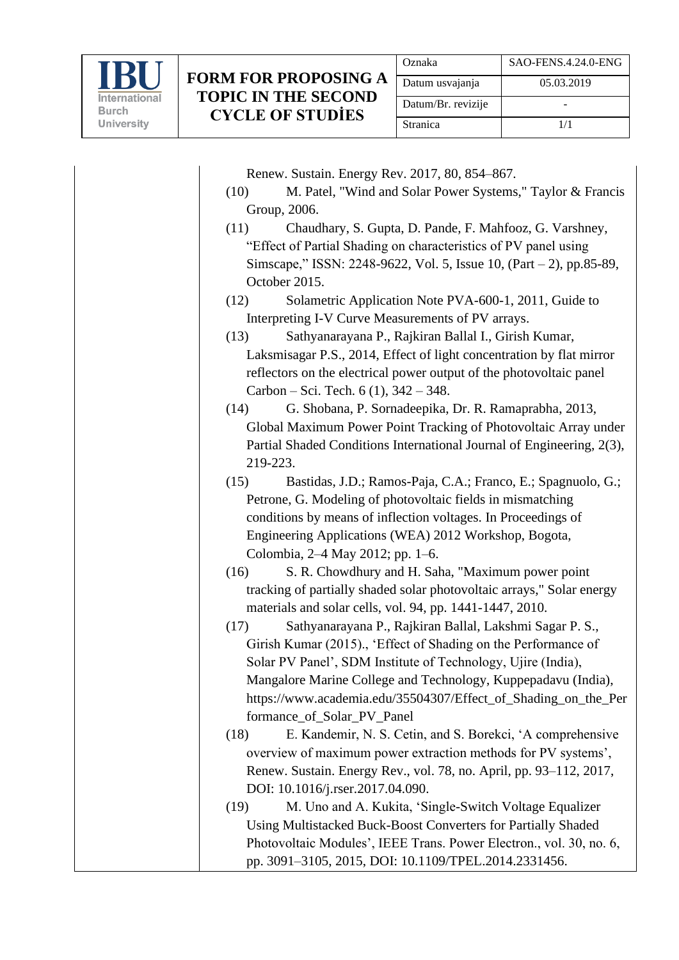

| Oznaka             | SAO-FENS.4.24.0-ENG |
|--------------------|---------------------|
| Datum usvajanja    | 05.03.2019          |
| Datum/Br. revizije |                     |
| Stranica           | 1/1                 |

Renew. Sustain. Energy Rev. 2017, 80, 854–867.

- (10) M. Patel, "Wind and Solar Power Systems," Taylor & Francis Group, 2006.
- (11) Chaudhary, S. Gupta, D. Pande, F. Mahfooz, G. Varshney, "Effect of Partial Shading on characteristics of PV panel using Simscape," ISSN: 2248-9622, Vol. 5, Issue 10, (Part – 2), pp.85-89, October 2015.
- (12) Solametric Application Note PVA-600-1, 2011, Guide to Interpreting I-V Curve Measurements of PV arrays.
- (13) Sathyanarayana P., Rajkiran Ballal I., Girish Kumar, Laksmisagar P.S., 2014, Effect of light concentration by flat mirror reflectors on the electrical power output of the photovoltaic panel Carbon – Sci. Tech.  $6(1)$ ,  $342 - 348$ .
- (14) G. Shobana, P. Sornadeepika, Dr. R. Ramaprabha, 2013, Global Maximum Power Point Tracking of Photovoltaic Array under Partial Shaded Conditions International Journal of Engineering, 2(3), 219-223.
- (15) Bastidas, J.D.; Ramos-Paja, C.A.; Franco, E.; Spagnuolo, G.; Petrone, G. Modeling of photovoltaic fields in mismatching conditions by means of inflection voltages. In Proceedings of Engineering Applications (WEA) 2012 Workshop, Bogota, Colombia, 2–4 May 2012; pp. 1–6.
- (16) S. R. Chowdhury and H. Saha, "Maximum power point tracking of partially shaded solar photovoltaic arrays," Solar energy materials and solar cells, vol. 94, pp. 1441-1447, 2010.
- (17) Sathyanarayana P., Rajkiran Ballal, Lakshmi Sagar P. S., Girish Kumar (2015)., 'Effect of Shading on the Performance of Solar PV Panel', SDM Institute of Technology, Ujire (India), Mangalore Marine College and Technology, Kuppepadavu (India), https://www.academia.edu/35504307/Effect of Shading on the Per formance\_of\_Solar\_PV\_Panel
- (18) E. Kandemir, N. S. Cetin, and S. Borekci, 'A comprehensive overview of maximum power extraction methods for PV systems', Renew. Sustain. Energy Rev., vol. 78, no. April, pp. 93–112, 2017, DOI: 10.1016/j.rser.2017.04.090.
- (19) M. Uno and A. Kukita, 'Single-Switch Voltage Equalizer Using Multistacked Buck-Boost Converters for Partially Shaded Photovoltaic Modules', IEEE Trans. Power Electron., vol. 30, no. 6, pp. 3091–3105, 2015, DOI: 10.1109/TPEL.2014.2331456.